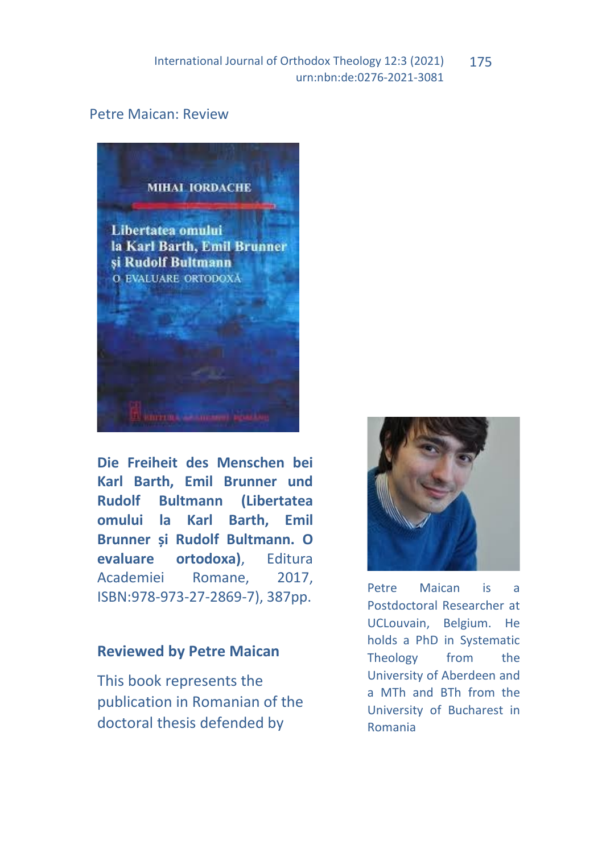International Journal of Orthodox Theology 12:3 (2021) urn:nbn:de:0276-2021-3081 175

## Petre Maican: Review



**Die Freiheit des Menschen bei Karl Barth, Emil Brunner und Rudolf Bultmann (Libertatea omului la Karl Barth, Emil Brunner și Rudolf Bultmann. O evaluare ortodoxa)**, Editura Academiei Romane, 2017, ISBN:978-973-27-2869-7), 387pp.

## **Reviewed by Petre Maican**

This book represents the publication in Romanian of the doctoral thesis defended by



Petre Maican is a Postdoctoral Researcher at UCLouvain, Belgium. He holds a PhD in Systematic Theology from the University of Aberdeen and a MTh and BTh from the University of Bucharest in Romania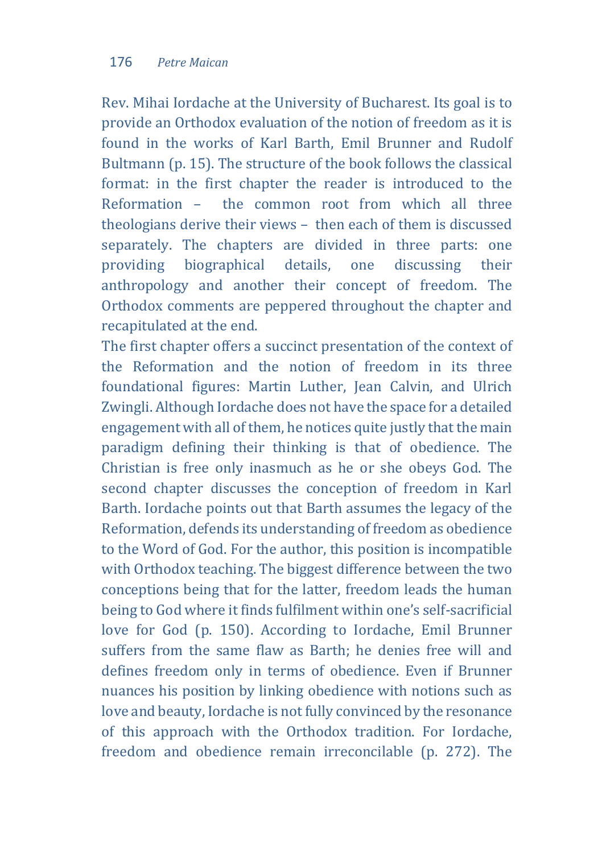Rev. Mihai Iordache at the University of Bucharest. Its goal is to provide an Orthodox evaluation of the notion of freedom as it is found in the works of Karl Barth, Emil Brunner and Rudolf Bultmann (p. 15). The structure of the book follows the classical format: in the first chapter the reader is introduced to the Reformation – the common root from which all three theologians derive their views – then each of them is discussed separately. The chapters are divided in three parts: one providing biographical details, one discussing their anthropology and another their concept of freedom. The Orthodox comments are peppered throughout the chapter and recapitulated at the end.

The first chapter offers a succinct presentation of the context of the Reformation and the notion of freedom in its three foundational figures: Martin Luther, Jean Calvin, and Ulrich Zwingli. Although Iordache does not have the space for a detailed engagement with all of them, he notices quite justly that the main paradigm defining their thinking is that of obedience. The Christian is free only inasmuch as he or she obeys God. The second chapter discusses the conception of freedom in Karl Barth. Iordache points out that Barth assumes the legacy of the Reformation, defends its understanding of freedom as obedience to the Word of God. For the author, this position is incompatible with Orthodox teaching. The biggest difference between the two conceptions being that for the latter, freedom leads the human being to God where it finds fulfilment within one's self-sacrificial love for God (p. 150). According to Iordache, Emil Brunner suffers from the same flaw as Barth; he denies free will and defines freedom only in terms of obedience. Even if Brunner nuances his position by linking obedience with notions such as love and beauty, Iordache is not fully convinced by the resonance of this approach with the Orthodox tradition. For Iordache, freedom and obedience remain irreconcilable (p. 272). The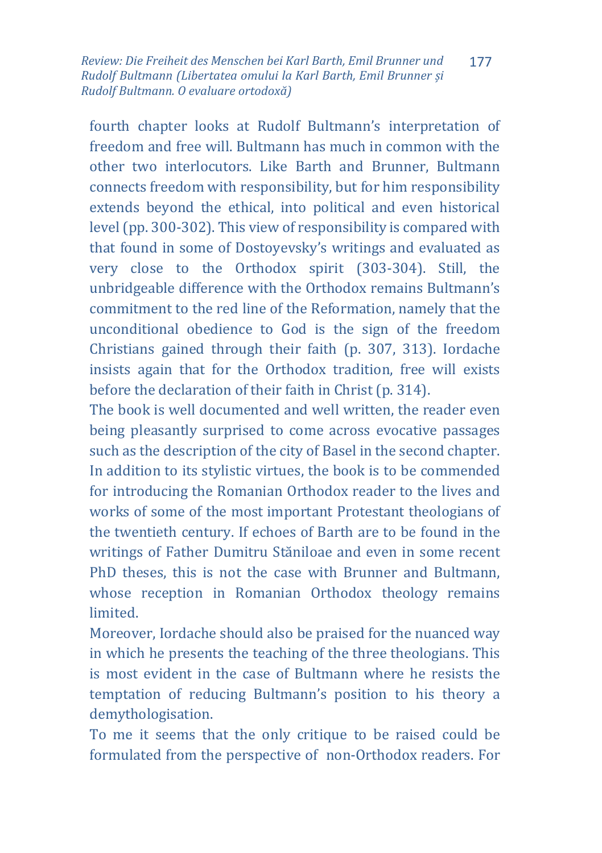*Review: Die Freiheit des Menschen bei Karl Barth, Emil Brunner und Rudolf Bultmann (Libertatea omului la Karl Barth, Emil Brunner și Rudolf Bultmann. O evaluare ortodoxă)* 177

fourth chapter looks at Rudolf Bultmann's interpretation of freedom and free will. Bultmann has much in common with the other two interlocutors. Like Barth and Brunner, Bultmann connects freedom with responsibility, but for him responsibility extends beyond the ethical, into political and even historical level (pp. 300-302). This view of responsibility is compared with that found in some of Dostoyevsky's writings and evaluated as very close to the Orthodox spirit (303-304). Still, the unbridgeable difference with the Orthodox remains Bultmann's commitment to the red line of the Reformation, namely that the unconditional obedience to God is the sign of the freedom Christians gained through their faith (p. 307, 313). Iordache insists again that for the Orthodox tradition, free will exists before the declaration of their faith in Christ (p. 314).

The book is well documented and well written, the reader even being pleasantly surprised to come across evocative passages such as the description of the city of Basel in the second chapter. In addition to its stylistic virtues, the book is to be commended for introducing the Romanian Orthodox reader to the lives and works of some of the most important Protestant theologians of the twentieth century. If echoes of Barth are to be found in the writings of Father Dumitru Stăniloae and even in some recent PhD theses, this is not the case with Brunner and Bultmann, whose reception in Romanian Orthodox theology remains limited.

Moreover, Iordache should also be praised for the nuanced way in which he presents the teaching of the three theologians. This is most evident in the case of Bultmann where he resists the temptation of reducing Bultmann's position to his theory a demythologisation.

To me it seems that the only critique to be raised could be formulated from the perspective of non-Orthodox readers. For